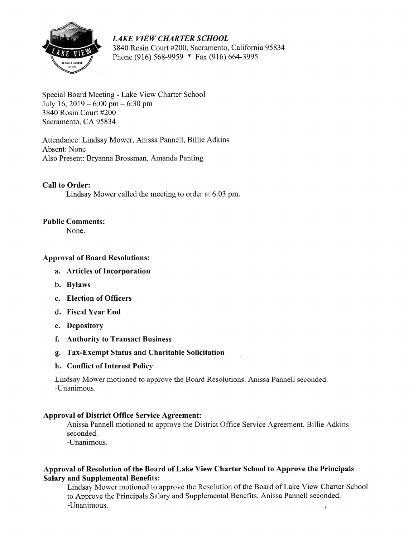

LAKE VIEW CHARTER SCHOOL 3840 Rosin Court #200, Sacramento, California 95834 Phone (916) 568-9959 \* Fax (916) 664-3995

## Special Board Meeting - Lake View Charter School July 16,  $2019 - 6:00$  pm $- 6:30$  pm 3840 Rosin Court #200 Sacramento, CA 95834

Attendance: Lindsay Mower, Anissa Pannell, Billie Adkins Absent: None Also Present: Bryanna Brossman, Amanda Panting

Call to Order:

Lindsay Mower called the meeting to order at 6:03 pm.

### Public Comments:

None.

### Approval of Board Resolutions:

- a. Articles of Incorporation
- b. Bylaws
- c. Election of Officers
- d. Fiscal Year End
- Depository e.
- Authority to Transact Business f.
- g. Tax-Exempt Status and Charitable Solicitation

#### h. Conflict of Interest Policy

Lindsay Mower motioned to approve the Board Resolutions. Anissa Pannell seconded. -Unanimous.

#### Approval of District Office Service Agreement:

Anissa Pannell motioned to approve the District Office Service Agreement. Billie Adkins seconded.

-Unanimous.

# Approval of Resolution of the Board of Lake View Charter School to Approve the Principals Salary and Supplemental Benefits:

Lindsay Mower motioned to approve the Resolution of the Board of Lake View Charter School to Approve the Principals Salary and Supplemental Benefits. Anissa Pannell seconded.  $-$ Unanimous.